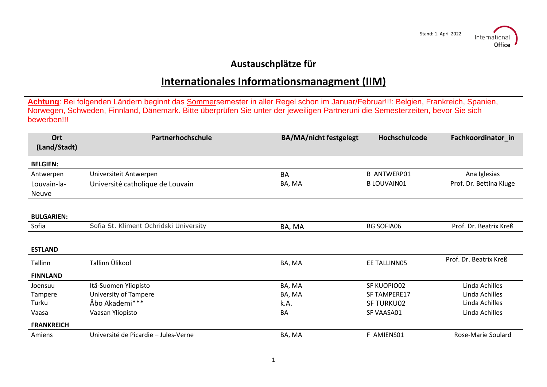

## **Austauschplätze für**

## **Internationales Informationsmanagment (IIM)**

**Achtung**: Bei folgenden Ländern beginnt das Sommersemester in aller Regel schon im Januar/Februar!!!: Belgien, Frankreich, Spanien, Norwegen, Schweden, Finnland, Dänemark. Bitte überprüfen Sie unter der jeweiligen Partneruni die Semesterzeiten, bevor Sie sich bewerben!!!

| Ort<br>(Land/Stadt)  | Partnerhochschule                      | <b>BA/MA/nicht festgelegt</b> | Hochschulcode       | Fachkoordinator in      |
|----------------------|----------------------------------------|-------------------------------|---------------------|-------------------------|
| <b>BELGIEN:</b>      |                                        |                               |                     |                         |
| Antwerpen            | Universiteit Antwerpen                 | <b>BA</b>                     | <b>B ANTWERP01</b>  | Ana Iglesias            |
| Louvain-la-<br>Neuve | Université catholique de Louvain       | BA, MA                        | <b>B LOUVAIN01</b>  | Prof. Dr. Bettina Kluge |
| <b>BULGARIEN:</b>    |                                        |                               |                     |                         |
| Sofia                | Sofia St. Kliment Ochridski University | BA, MA                        | <b>BG SOFIA06</b>   | Prof. Dr. Beatrix Kreß  |
| <b>ESTLAND</b>       |                                        |                               |                     |                         |
| Tallinn              | Tallinn Ülikool                        | BA, MA                        | EE TALLINN05        | Prof. Dr. Beatrix Kreß  |
| <b>FINNLAND</b>      |                                        |                               |                     |                         |
| Joensuu              | Itä-Suomen Yliopisto                   | BA, MA                        | SF KUOPIO02         | Linda Achilles          |
| Tampere              | University of Tampere                  | BA, MA                        | <b>SF TAMPERE17</b> | Linda Achilles          |
| Turku                | Åbo Akademi***                         | k.A.                          | <b>SF TURKU02</b>   | Linda Achilles          |
| Vaasa                | Vaasan Yliopisto                       | <b>BA</b>                     | SF VAASA01          | Linda Achilles          |
| <b>FRANKREICH</b>    |                                        |                               |                     |                         |
| Amiens               | Université de Picardie - Jules-Verne   | BA, MA                        | F AMIENS01          | Rose-Marie Soulard      |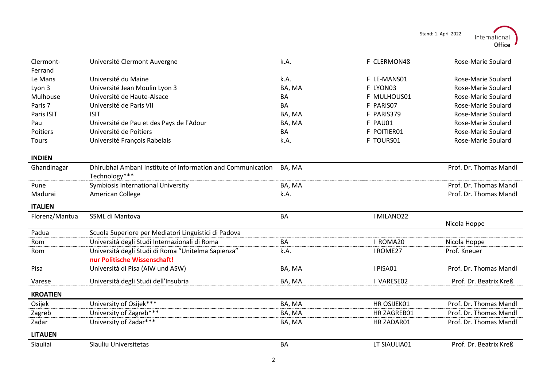Stand: 1. April 2022



| Clermont-<br>Ferrand | Université Clermont Auvergne                                                       | k.A.      | F CLERMON48 | Rose-Marie Soulard     |
|----------------------|------------------------------------------------------------------------------------|-----------|-------------|------------------------|
| Le Mans              | Université du Maine                                                                | k.A.      | F LE-MANS01 | Rose-Marie Soulard     |
| Lyon 3               | Université Jean Moulin Lyon 3                                                      | BA, MA    | F LYON03    | Rose-Marie Soulard     |
| Mulhouse             | Université de Haute-Alsace                                                         | <b>BA</b> | F MULHOUS01 | Rose-Marie Soulard     |
| Paris 7              | Université de Paris VII                                                            | <b>BA</b> | F PARISO7   | Rose-Marie Soulard     |
| Paris ISIT           | <b>ISIT</b>                                                                        | BA, MA    | F PARIS379  | Rose-Marie Soulard     |
| Pau                  | Université de Pau et des Pays de l'Adour                                           | BA, MA    | F PAU01     | Rose-Marie Soulard     |
| Poitiers             | Université de Poitiers                                                             | BA        | F POITIER01 | Rose-Marie Soulard     |
| Tours                | Université François Rabelais                                                       | k.A.      | F TOURS01   | Rose-Marie Soulard     |
| <b>INDIEN</b>        |                                                                                    |           |             |                        |
| Ghandinagar          | Dhirubhai Ambani Institute of Information and Communication<br>Technology***       | BA, MA    |             | Prof. Dr. Thomas Mandl |
| Pune                 | Symbiosis International University                                                 | BA, MA    |             | Prof. Dr. Thomas Mandl |
| Madurai              | American College                                                                   | k.A.      |             | Prof. Dr. Thomas Mandl |
| <b>ITALIEN</b>       |                                                                                    |           |             |                        |
| Florenz/Mantua       | SSML di Mantova                                                                    | <b>BA</b> | I MILANO22  | Nicola Hoppe           |
| Padua                | Scuola Superiore per Mediatori Linguistici di Padova                               |           |             |                        |
| <b>Rom</b>           | Università degli Studi Internazionali di Roma                                      | <b>BA</b> | I ROMA20    | Nicola Hoppe           |
| Rom                  | Università degli Studi di Roma "Unitelma Sapienza"<br>nur Politische Wissenschaft! | k.A.      | I ROME27    | Prof. Kneuer           |
| Pisa                 | Università di Pisa (AIW und ASW)                                                   | BA, MA    | I PISA01    | Prof. Dr. Thomas Mandl |
| Varese               | Università degli Studi dell'Insubria                                               | BA, MA    | I VARESE02  | Prof. Dr. Beatrix Kreß |
| <b>KROATIEN</b>      |                                                                                    |           |             |                        |
| Osijek               | University of Osijek***                                                            | BA, MA    | HR OSIJEK01 | Prof. Dr. Thomas Mandl |
| Zagreb               | University of Zagreb***                                                            | BA, MA    | HR ZAGREB01 | Prof. Dr. Thomas Mandl |
| Zadar                | University of Zadar***                                                             | BA, MA    | HR ZADAR01  | Prof. Dr. Thomas Mandl |
| <b>LITAUEN</b>       |                                                                                    |           |             |                        |
| Siauliai             |                                                                                    |           |             |                        |

l.

j.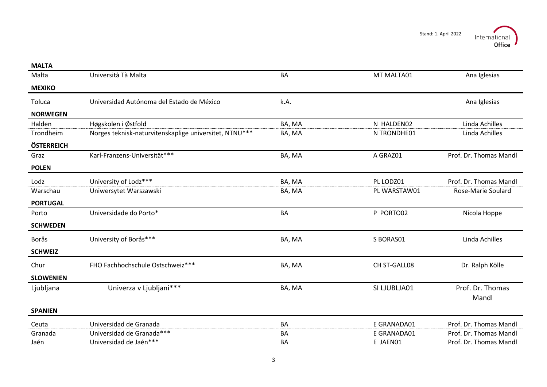| <b>MALTA</b>     |                                                        |           |              |                        |
|------------------|--------------------------------------------------------|-----------|--------------|------------------------|
| Malta            | Università Tà Malta                                    | BA        | MT MALTA01   | Ana Iglesias           |
| <b>MEXIKO</b>    |                                                        |           |              |                        |
| Toluca           | Universidad Autónoma del Estado de México              | k.A.      |              | Ana Iglesias           |
| <b>NORWEGEN</b>  |                                                        |           |              |                        |
| Halden           | Høgskolen i Østfold                                    | BA, MA    | N HALDEN02   | Linda Achilles         |
| Trondheim        | Norges teknisk-naturvitenskaplige universitet, NTNU*** | BA, MA    | N TRONDHE01  | Linda Achilles         |
| ÖSTERREICH       |                                                        |           |              |                        |
| Graz             | Karl-Franzens-Universität***                           | BA, MA    | A GRAZ01     | Prof. Dr. Thomas Mandl |
| <b>POLEN</b>     |                                                        |           |              |                        |
| Lodz             | University of Lodz***                                  | BA, MA    | PL LODZ01    | Prof. Dr. Thomas Mandl |
| Warschau         | Uniwersytet Warszawski                                 | BA, MA    | PL WARSTAW01 | Rose-Marie Soulard     |
| <b>PORTUGAL</b>  |                                                        |           |              |                        |
| Porto            | Universidade do Porto*                                 | BA        | P PORTO02    | Nicola Hoppe           |
| <b>SCHWEDEN</b>  |                                                        |           |              |                        |
| <b>Borås</b>     | University of Borås***                                 | BA, MA    | S BORAS01    | Linda Achilles         |
| <b>SCHWEIZ</b>   |                                                        |           |              |                        |
| Chur             | FHO Fachhochschule Ostschweiz***                       | BA, MA    | CH ST-GALL08 | Dr. Ralph Kölle        |
| <b>SLOWENIEN</b> |                                                        |           |              |                        |
| Ljubljana        | Univerza v Ljubljani***                                | BA, MA    | SI LJUBLJA01 | Prof. Dr. Thomas       |
|                  |                                                        |           |              | Mandl                  |
| <b>SPANIEN</b>   |                                                        |           |              |                        |
| Ceuta            | Universidad de Granada                                 | BA        | E GRANADA01  | Prof. Dr. Thomas Mandl |
| Granada          | Universidad de Granada***                              | <b>BA</b> | E GRANADA01  | Prof. Dr. Thomas Mandl |
|                  |                                                        |           |              |                        |